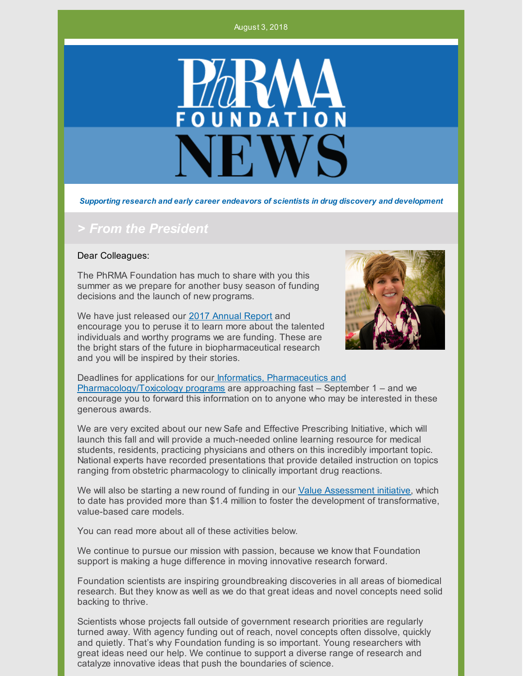#### August 3, 2018



*Supporting research and early career endeavors of scientists in drug discovery and development*

#### *> From the President*

#### Dear Colleagues:

The PhRMA Foundation has much to share with you this summer as we prepare for another busy season of funding decisions and the launch of new programs.

We have just released our 2017 [Annual](http://www.phrmafoundation.org/wp-content/uploads/2018/06/PhRMA_Foundation_2017_Annual_Report.pdf) Report and encourage you to peruse it to learn more about the talented individuals and worthy programs we are funding. These are the bright stars of the future in biopharmaceutical research and you will be inspired by their stories.



Deadlines for applications for our Informatics, Pharmaceutics and [Pharmacology/Toxicology](http://www.phrmafoundation.org/awards/) programs are approaching fast – September 1 – and we encourage you to forward this information on to anyone who may be interested in these generous awards.

We are very excited about our new Safe and Effective Prescribing Initiative, which will launch this fall and will provide a much-needed online learning resource for medical students, residents, practicing physicians and others on this incredibly important topic. National experts have recorded presentations that provide detailed instruction on topics ranging from obstetric pharmacology to clinically important drug reactions.

We will also be starting a new round of funding in our Value [Assessment](http://www.phrmafoundation.org/2018-awards/value-assessment-initiative/) initiative, which to date has provided more than \$1.4 million to foster the development of transformative, value-based care models.

You can read more about all of these activities below.

We continue to pursue our mission with passion, because we know that Foundation support is making a huge difference in moving innovative research forward.

Foundation scientists are inspiring groundbreaking discoveries in all areas of biomedical research. But they know as well as we do that great ideas and novel concepts need solid backing to thrive.

Scientists whose projects fall outside of government research priorities are regularly turned away. With agency funding out of reach, novel concepts often dissolve, quickly and quietly. That's why Foundation funding is so important. Young researchers with great ideas need our help. We continue to support a diverse range of research and catalyze innovative ideas that push the boundaries of science.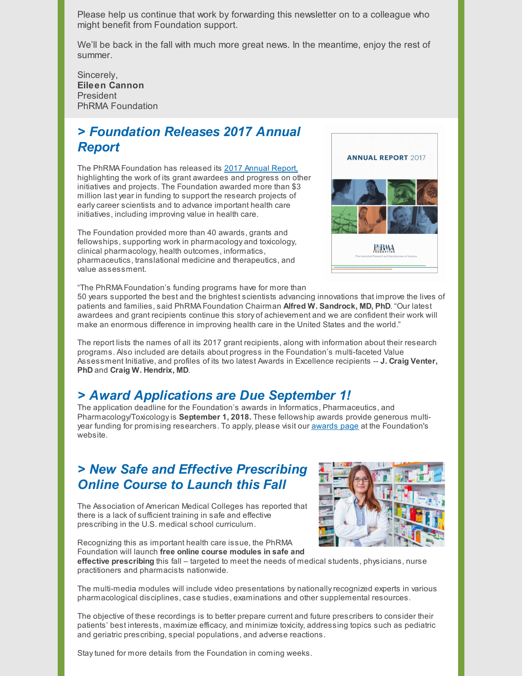Please help us continue that work by forwarding this newsletter on to a colleague who might benefit from Foundation support.

We'll be back in the fall with much more great news. In the meantime, enjoy the rest of summer.

Sincerely, **Eileen Cannon** President PhRMA Foundation

# *> Foundation Releases 2017 Annual Report*

The PhRMA Foundation has released its 2017 Annual [Report,](http://www.phrmafoundation.org/wp-content/uploads/2018/06/PhRMA_Foundation_2017_Annual_Report.pdf) highlighting the work of its grant awardees and progress on other initiatives and projects. The Foundation awarded more than \$3 million last year in funding to support the research projects of earlycareer scientists and to advance important health care initiatives, including improving value in health care.

The Foundation provided more than 40 awards, grants and fellowships, supporting work in pharmacology and toxicology, clinical pharmacology, health outcomes, informatics, pharmaceutics, translational medicine and therapeutics, and value assessment.



"The PhRMA Foundation's funding programs have for more than

50 years supported the best and the brightest scientists advancing innovations that improve the lives of patients and families, said PhRMA Foundation Chairman **Alfred W. Sandrock, MD, PhD**. "Our latest awardees and grant recipients continue this story of achievement and we are confident their work will make an enormous difference in improving health care in the United States and the world."

The report lists the names of all its 2017 grant recipients, along with information about their research programs. Also included are details about progress in the Foundation's multi-faceted Value Assessment Initiative, and profiles of its two latest Awards in Excellence recipients -- **J. Craig Venter, PhD** and **Craig W. Hendrix, MD**.

### *> Award Applications are Due September 1!*

The application deadline for the Foundation's awards in Informatics, Pharmaceutics, and Pharmacology/Toxicologyis **September 1, 2018.** These fellowship awards provide generous multiyear funding for promising researchers. To apply, please visit our **[awards](http://www.phrmafoundation.org/awards/)** page at the Foundation's website.

## *> New Safe and Effective Prescribing Online Course to Launch this Fall*

The Association of American Medical Colleges has reported that there is a lack of sufficient training in safe and effective prescribing in the U.S. medical school curriculum.



Foundation will launch **free online course modules in safe and effective prescribing** this fall – targeted to meet the needs of medical students, physicians, nurse practitioners and pharmacists nationwide.

The multi-media modules will include video presentations by nationallyrecognized experts in various pharmacological disciplines, case studies, examinations and other supplemental resources.

The objective of these recordings is to better prepare current and future prescribers to consider their patients' best interests, maximize efficacy, and minimize toxicity, addressing topics such as pediatric and geriatric prescribing, special populations, and adverse reactions.

Staytuned for more details from the Foundation in coming weeks.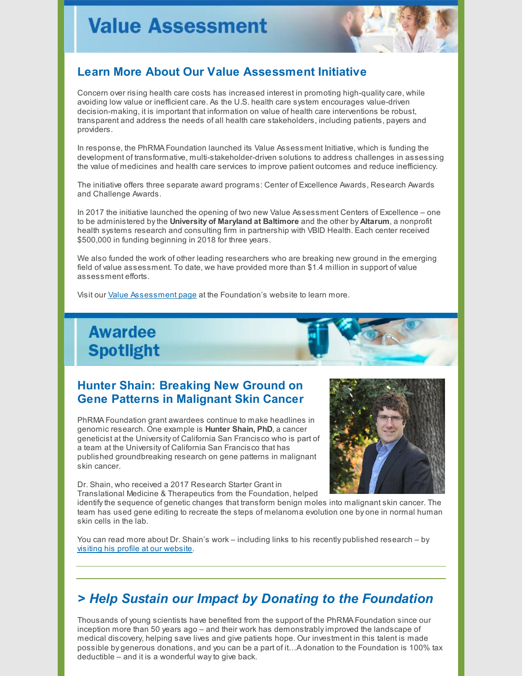

#### **Learn More About Our Value Assessment Initiative**

Concern over rising health care costs has increased interest in promoting high-qualitycare, while avoiding low value or inefficient care. As the U.S. health care system encourages value-driven decision-making, it is important that information on value of health care interventions be robust, transparent and address the needs of all health care stakeholders, including patients, payers and providers.

In response, the PhRMA Foundation launched its Value Assessment Initiative, which is funding the development of transformative, multi-stakeholder-driven solutions to address challenges in assessing the value of medicines and health care services to improve patient outcomes and reduce inefficiency.

The initiative offers three separate award programs: Center of Excellence Awards, Research Awards and Challenge Awards.

In 2017 the initiative launched the opening of two new Value Assessment Centers of Excellence – one to be administered bythe **University of Maryland at Baltimore** and the other by **Altarum**, a nonprofit health systems research and consulting firm in partnership with VBID Health. Each center received \$500,000 in funding beginning in 2018 for three years.

We also funded the work of other leading researchers who are breaking new ground in the emerging field of value assessment. To date, we have provided more than \$1.4 million in support of value assessment efforts.

Visit our Value [Assessment](http://www.phrmafoundation.org/2018-awards/value-assessment-initiative/) page at the Foundation's website to learn more.



#### **Hunter Shain: Breaking New Ground on Gene Patterns in Malignant Skin Cancer**

PhRMA Foundation grant awardees continue to make headlines in genomic research. One example is **Hunter Shain, PhD**, a cancer geneticist at the University of California San Francisco who is part of a team at the University of California San Francisco that has published groundbreaking research on gene patterns in malignant skin cancer.

Dr. Shain, who received a 2017 Research Starter Grant in

Translational Medicine & Therapeutics from the Foundation, helped



identifythe sequence of genetic changes that transform benign moles into malignant skin cancer. The team has used gene editing to recreate the steps of melanoma evolution one by one in normal human skin cells in the lab.

You can read more about Dr. Shain's work – including links to his recently published research – by visiting his profile at our [website](http://www.phrmafoundation.org/hunter-shain-discovering-new-clues-in-malignant-skin-cancer/).

### *> Help Sustain our Impact by Donating to the Foundation*

Thousands of young scientists have benefited from the support of the PhRMA Foundation since our inception more than 50 years ago – and their work has demonstrablyimproved the landscape of medical discovery, helping save lives and give patients hope. Our investment in this talent is made possible by generous donations, and you can be a part of it…A donation to the Foundation is 100% tax deductible – and it is a wonderful wayto give back.